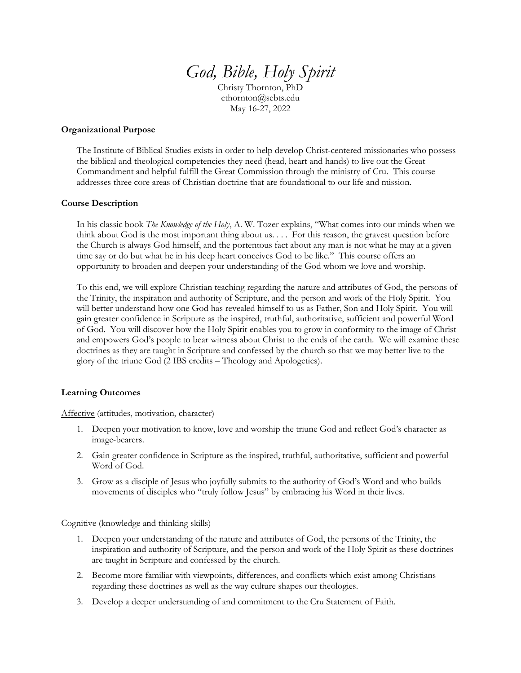# *God, Bible, Holy Spirit*

Christy Thornton, PhD cthornton@sebts.edu May 16-27, 2022

#### **Organizational Purpose**

The Institute of Biblical Studies exists in order to help develop Christ-centered missionaries who possess the biblical and theological competencies they need (head, heart and hands) to live out the Great Commandment and helpful fulfill the Great Commission through the ministry of Cru. This course addresses three core areas of Christian doctrine that are foundational to our life and mission.

## **Course Description**

In his classic book *The Knowledge of the Holy*, A. W. Tozer explains, "What comes into our minds when we think about God is the most important thing about us. . . . For this reason, the gravest question before the Church is always God himself, and the portentous fact about any man is not what he may at a given time say or do but what he in his deep heart conceives God to be like." This course offers an opportunity to broaden and deepen your understanding of the God whom we love and worship.

To this end, we will explore Christian teaching regarding the nature and attributes of God, the persons of the Trinity, the inspiration and authority of Scripture, and the person and work of the Holy Spirit. You will better understand how one God has revealed himself to us as Father, Son and Holy Spirit. You will gain greater confidence in Scripture as the inspired, truthful, authoritative, sufficient and powerful Word of God. You will discover how the Holy Spirit enables you to grow in conformity to the image of Christ and empowers God's people to bear witness about Christ to the ends of the earth. We will examine these doctrines as they are taught in Scripture and confessed by the church so that we may better live to the glory of the triune God (2 IBS credits – Theology and Apologetics).

## **Learning Outcomes**

Affective (attitudes, motivation, character)

- 1. Deepen your motivation to know, love and worship the triune God and reflect God's character as image-bearers.
- 2. Gain greater confidence in Scripture as the inspired, truthful, authoritative, sufficient and powerful Word of God.
- 3. Grow as a disciple of Jesus who joyfully submits to the authority of God's Word and who builds movements of disciples who "truly follow Jesus" by embracing his Word in their lives.

Cognitive (knowledge and thinking skills)

- 1. Deepen your understanding of the nature and attributes of God, the persons of the Trinity, the inspiration and authority of Scripture, and the person and work of the Holy Spirit as these doctrines are taught in Scripture and confessed by the church.
- 2. Become more familiar with viewpoints, differences, and conflicts which exist among Christians regarding these doctrines as well as the way culture shapes our theologies.
- 3. Develop a deeper understanding of and commitment to the Cru Statement of Faith.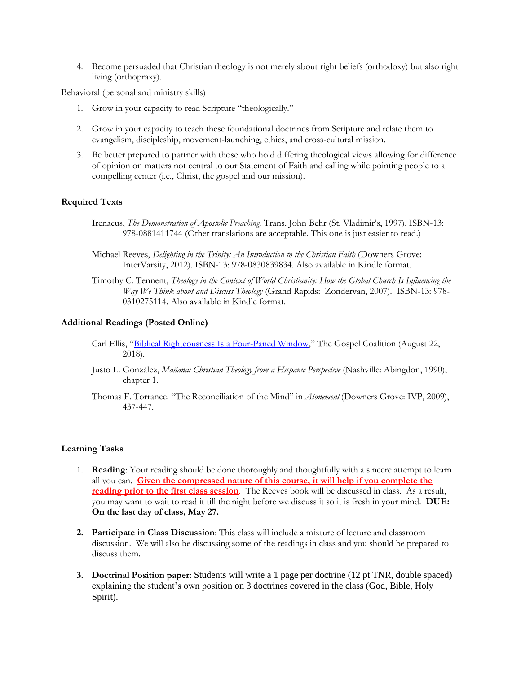4. Become persuaded that Christian theology is not merely about right beliefs (orthodoxy) but also right living (orthopraxy).

Behavioral (personal and ministry skills)

- 1. Grow in your capacity to read Scripture "theologically."
- 2. Grow in your capacity to teach these foundational doctrines from Scripture and relate them to evangelism, discipleship, movement-launching, ethics, and cross-cultural mission.
- 3. Be better prepared to partner with those who hold differing theological views allowing for difference of opinion on matters not central to our Statement of Faith and calling while pointing people to a compelling center (i.e., Christ, the gospel and our mission).

#### **Required Texts**

- Irenaeus, *The Demonstration of Apostolic Preaching.* Trans. John Behr (St. Vladimir's, 1997). ISBN-13: 978-0881411744 (Other translations are acceptable. This one is just easier to read.)
- Michael Reeves, *Delighting in the Trinity: An Introduction to the Christian Faith* (Downers Grove: InterVarsity, 2012). ISBN-13: 978-0830839834. Also available in Kindle format.
- Timothy C. Tennent, *Theology in the Context of World Christianity: How the Global Church Is Influencing the Way We Think about and Discuss Theology* (Grand Rapids: Zondervan, 2007). ISBN-13: 978- 0310275114. Also available in Kindle format.

#### **Additional Readings (Posted Online)**

- Carl Ellis, "[Biblical Righteousness Is a Four-Paned Window](https://www.thegospelcoalition.org/article/biblical-righteousness-four-paned-window/)," The Gospel Coalition (August 22, 2018).
- Justo L. González, *Mañana: Christian Theology from a Hispanic Perspective* (Nashville: Abingdon, 1990), chapter 1.
- Thomas F. Torrance. "The Reconciliation of the Mind" in *Atonement* (Downers Grove: IVP, 2009), 437-447.

#### **Learning Tasks**

- 1. **Reading**: Your reading should be done thoroughly and thoughtfully with a sincere attempt to learn all you can. **Given the compressed nature of this course, it will help if you complete the reading prior to the first class session**. The Reeves book will be discussed in class. As a result, you may want to wait to read it till the night before we discuss it so it is fresh in your mind. **DUE: On the last day of class, May 27.**
- **2. Participate in Class Discussion**: This class will include a mixture of lecture and classroom discussion. We will also be discussing some of the readings in class and you should be prepared to discuss them.
- **3. Doctrinal Position paper:** Students will write a 1 page per doctrine (12 pt TNR, double spaced) explaining the student's own position on 3 doctrines covered in the class (God, Bible, Holy Spirit).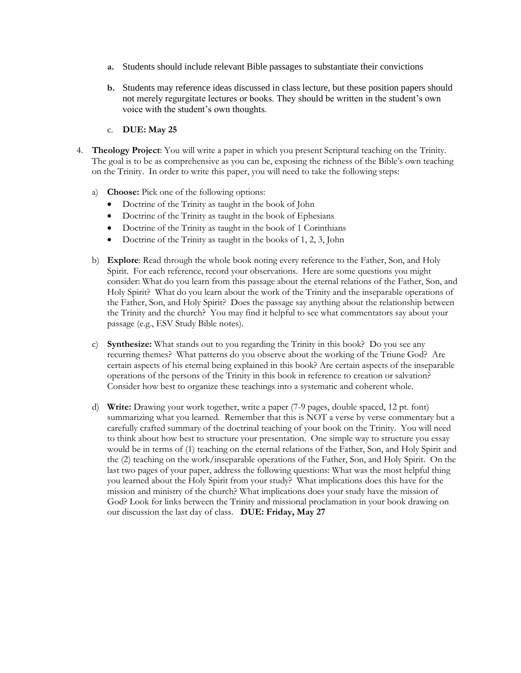- **a.** Students should include relevant Bible passages to substantiate their convictions
- **b.** Students may reference ideas discussed in class lecture, but these position papers should not merely regurgitate lectures or books. They should be written in the student's own voice with the student's own thoughts.
- c. **DUE: May 25**
- 4. **Theology Project**: You will write a paper in which you present Scriptural teaching on the Trinity. The goal is to be as comprehensive as you can be, exposing the richness of the Bible's own teaching on the Trinity. In order to write this paper, you will need to take the following steps:
	- a) **Choose:** Pick one of the following options:
		- Doctrine of the Trinity as taught in the book of John
		- Doctrine of the Trinity as taught in the book of Ephesians
		- Doctrine of the Trinity as taught in the book of 1 Corinthians
		- Doctrine of the Trinity as taught in the books of 1, 2, 3, John
	- b) **Explore**: Read through the whole book noting every reference to the Father, Son, and Holy Spirit. For each reference, record your observations. Here are some questions you might consider: What do you learn from this passage about the eternal relations of the Father, Son, and Holy Spirit? What do you learn about the work of the Trinity and the inseparable operations of the Father, Son, and Holy Spirit? Does the passage say anything about the relationship between the Trinity and the church? You may find it helpful to see what commentators say about your passage (e.g., ESV Study Bible notes).
	- c) **Synthesize:** What stands out to you regarding the Trinity in this book? Do you see any recurring themes? What patterns do you observe about the working of the Triune God? Are certain aspects of his eternal being explained in this book? Are certain aspects of the inseparable operations of the persons of the Trinity in this book in reference to creation or salvation? Consider how best to organize these teachings into a systematic and coherent whole.
	- d) **Write:** Drawing your work together, write a paper (7-9 pages, double spaced, 12 pt. font) summarizing what you learned. Remember that this is NOT a verse by verse commentary but a carefully crafted summary of the doctrinal teaching of your book on the Trinity. You will need to think about how best to structure your presentation. One simple way to structure you essay would be in terms of (1) teaching on the eternal relations of the Father, Son, and Holy Spirit and the (2) teaching on the work/inseparable operations of the Father, Son, and Holy Spirit. On the last two pages of your paper, address the following questions: What was the most helpful thing you learned about the Holy Spirit from your study? What implications does this have for the mission and ministry of the church? What implications does your study have the mission of God? Look for links between the Trinity and missional proclamation in your book drawing on our discussion the last day of class. **DUE: Friday, May 27**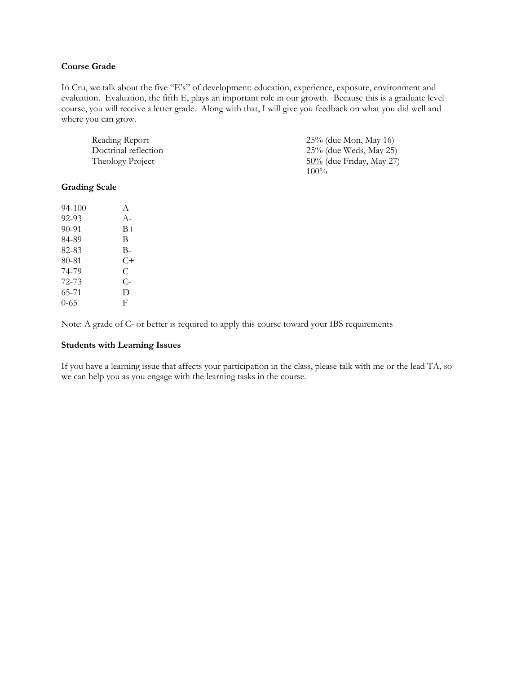## **Course Grade**

In Cru, we talk about the five "E's" of development: education, experience, exposure, environment and evaluation. Evaluation, the fifth E, plays an important role in our growth. Because this is a graduate level course, you will receive a letter grade. Along with that, I will give you feedback on what you did well and where you can grow.

| Reading Report       | 25% (due Mon, May 16)       |
|----------------------|-----------------------------|
| Doctrinal reflection | 25% (due Weds, May 25)      |
| Theology Project     | $50\%$ (due Friday, May 27) |
|                      | $100\%$                     |

### **Grading Scale**

| 94-100   | A          |
|----------|------------|
| 92-93    | $A-$       |
| 90-91    | B+         |
| 84-89    | B          |
| 82-83    | В-         |
| 80-81    | $C+$       |
| 74-79    | C          |
| 72-73    | $C_{\tau}$ |
| 65-71    | D          |
| $0 - 65$ | F          |

Note: A grade of C- or better is required to apply this course toward your IBS requirements

#### **Students with Learning Issues**

If you have a learning issue that affects your participation in the class, please talk with me or the lead TA, so we can help you as you engage with the learning tasks in the course.